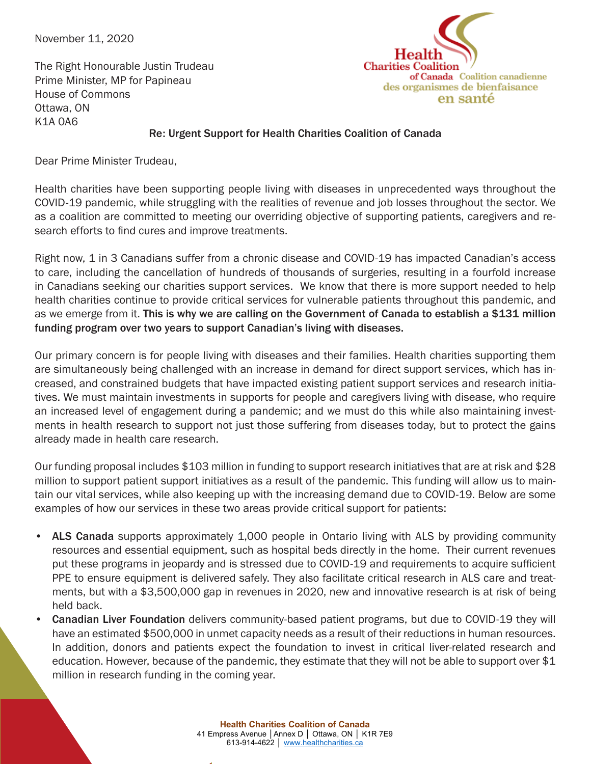November 11, 2020

Heal **Charities Coalition** of Canada Coalition canadienne des organismes de bienfaisance en santé

The Right Honourable Justin Trudeau Prime Minister, MP for Papineau House of Commons Ottawa, ON K1A 0A6

## Re: Urgent Support for Health Charities Coalition of Canada

Dear Prime Minister Trudeau,

Health charities have been supporting people living with diseases in unprecedented ways throughout the COVID-19 pandemic, while struggling with the realities of revenue and job losses throughout the sector. We as a coalition are committed to meeting our overriding objective of supporting patients, caregivers and research efforts to find cures and improve treatments.

Right now, 1 in 3 Canadians suffer from a chronic disease and COVID-19 has impacted Canadian's access to care, including the cancellation of hundreds of thousands of surgeries, resulting in a fourfold increase in Canadians seeking our charities support services. We know that there is more support needed to help health charities continue to provide critical services for vulnerable patients throughout this pandemic, and as we emerge from it. This is why we are calling on the Government of Canada to establish a \$131 million funding program over two years to support Canadian's living with diseases.

Our primary concern is for people living with diseases and their families. Health charities supporting them are simultaneously being challenged with an increase in demand for direct support services, which has increased, and constrained budgets that have impacted existing patient support services and research initiatives. We must maintain investments in supports for people and caregivers living with disease, who require an increased level of engagement during a pandemic; and we must do this while also maintaining investments in health research to support not just those suffering from diseases today, but to protect the gains already made in health care research.

Our funding proposal includes \$103 million in funding to support research initiatives that are at risk and \$28 million to support patient support initiatives as a result of the pandemic. This funding will allow us to maintain our vital services, while also keeping up with the increasing demand due to COVID-19. Below are some examples of how our services in these two areas provide critical support for patients:

- ALS Canada supports approximately 1,000 people in Ontario living with ALS by providing community resources and essential equipment, such as hospital beds directly in the home. Their current revenues put these programs in jeopardy and is stressed due to COVID-19 and requirements to acquire sufficient PPE to ensure equipment is delivered safely. They also facilitate critical research in ALS care and treatments, but with a \$3,500,000 gap in revenues in 2020, new and innovative research is at risk of being held back.
- Canadian Liver Foundation delivers community-based patient programs, but due to COVID-19 they will have an estimated \$500,000 in unmet capacity needs as a result of their reductions in human resources. In addition, donors and patients expect the foundation to invest in critical liver-related research and education. However, because of the pandemic, they estimate that they will not be able to support over \$1 million in research funding in the coming year.